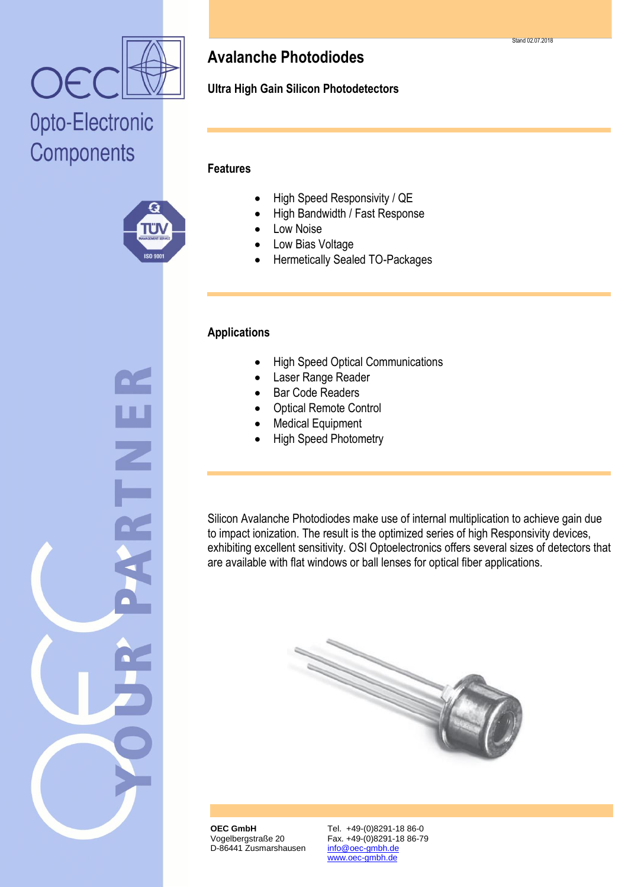

## Opto-Electronic Components



### **Avalanche Photodiodes**

**Ultra High Gain Silicon Photodetectors**

#### **Features**

- High Speed Responsivity / QE
- High Bandwidth / Fast Response
- Low Noise
- Low Bias Voltage
- Hermetically Sealed TO-Packages

#### **Applications**

- High Speed Optical Communications
- Laser Range Reader
- Bar Code Readers
- Optical Remote Control
- Medical Equipment
- High Speed Photometry

Silicon Avalanche Photodiodes make use of internal multiplication to achieve gain due to impact ionization. The result is the optimized series of high Responsivity devices, exhibiting excellent sensitivity. OSI Optoelectronics offers several sizes of detectors that are available with flat windows or ball lenses for optical fiber applications.



**OEC GmbH** Vogelbergstraße 20 D-86441 Zusmarshausen Tel. +49-(0)8291-18 86-0 Fax. +49-(0)8291-18 86-79 info@oec-gmbh.de www.oec-gmbh.de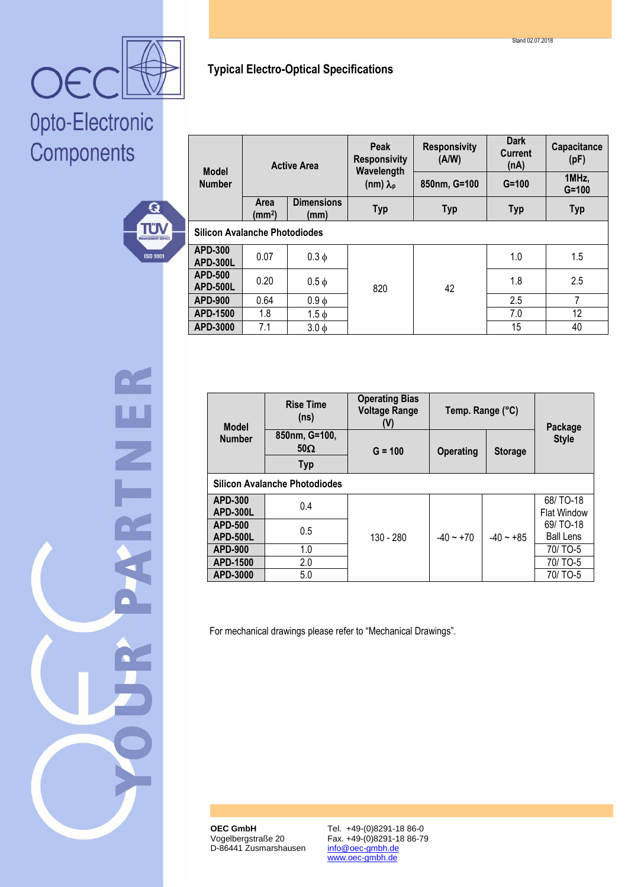

## Opto-Electronic Components



| <b>Model</b><br><b>Number</b>        | <b>Active Area</b>         |                           | <b>Peak</b><br><b>Responsivity</b><br>Wavelength<br>(nm) $\lambda_{p}$ | <b>Responsivity</b><br>(A/W) | <b>Dark</b><br><b>Current</b><br>(nA) | Capacitance<br>(pF) |  |  |  |
|--------------------------------------|----------------------------|---------------------------|------------------------------------------------------------------------|------------------------------|---------------------------------------|---------------------|--|--|--|
|                                      |                            |                           |                                                                        | 850nm, G=100                 | $G = 100$                             | 1MHz,<br>$G = 100$  |  |  |  |
|                                      | Area<br>(mm <sup>2</sup> ) | <b>Dimensions</b><br>(mm) | <b>Typ</b>                                                             | <b>Typ</b>                   | <b>Typ</b>                            | <b>Typ</b>          |  |  |  |
| <b>Silicon Avalanche Photodiodes</b> |                            |                           |                                                                        |                              |                                       |                     |  |  |  |
| <b>APD-300</b><br><b>APD-300L</b>    | 0.07                       | $0.3 \phi$                | 820                                                                    | 42                           | 1.0                                   | 1.5                 |  |  |  |
| <b>APD-500</b><br>APD-500L           | 0.20                       | $0.5 \phi$                |                                                                        |                              | 1.8                                   | 2.5                 |  |  |  |
| <b>APD-900</b>                       | 0.64                       | $0.9 \phi$                |                                                                        |                              | 2.5                                   | 7                   |  |  |  |
| APD-1500                             | 1.8                        | $1.5 \phi$                |                                                                        |                              | 7.0                                   | 12                  |  |  |  |
| APD-3000                             | 7.1                        | $3.0\phi$                 |                                                                        |                              | 15                                    | 40                  |  |  |  |

**Typical Electro-Optical Specifications**

| <b>Model</b><br><b>Number</b>        | <b>Rise Time</b><br>(n <sub>s</sub> )     | <b>Operating Bias</b><br><b>Voltage Range</b><br>(V) | Temp. Range (°C)                   |             | Package                        |  |  |  |  |  |
|--------------------------------------|-------------------------------------------|------------------------------------------------------|------------------------------------|-------------|--------------------------------|--|--|--|--|--|
|                                      | 850nm, G=100,<br>$50\Omega$<br><b>Typ</b> | $G = 100$                                            | <b>Operating</b><br><b>Storage</b> |             | <b>Style</b>                   |  |  |  |  |  |
| <b>Silicon Avalanche Photodiodes</b> |                                           |                                                      |                                    |             |                                |  |  |  |  |  |
| <b>APD-300</b><br><b>APD-300L</b>    | 0.4                                       | 130 - 280                                            | $-40 \sim +70$                     | $-40 - +85$ | 68/TO-18<br><b>Flat Window</b> |  |  |  |  |  |
| <b>APD-500</b><br><b>APD-500L</b>    | 0.5                                       |                                                      |                                    |             | 69/TO-18<br><b>Ball Lens</b>   |  |  |  |  |  |
| <b>APD-900</b>                       | 1.0                                       |                                                      |                                    |             | 70/TO-5                        |  |  |  |  |  |
| <b>APD-1500</b>                      | 2.0                                       |                                                      |                                    |             | 70/TO-5                        |  |  |  |  |  |
| APD-3000                             | 5.0                                       |                                                      |                                    |             | 70/ TO-5                       |  |  |  |  |  |

For mechanical drawings please refer to "Mechanical Drawings".

**OEC GmbH** Vogelbergstraße 20 D-86441 Zusmarshausen Tel. +49-(0)8291-18 86-0 Fax. +49-(0)8291-18 86-79 info@oec-gmbh.de www.oec-gmbh.de